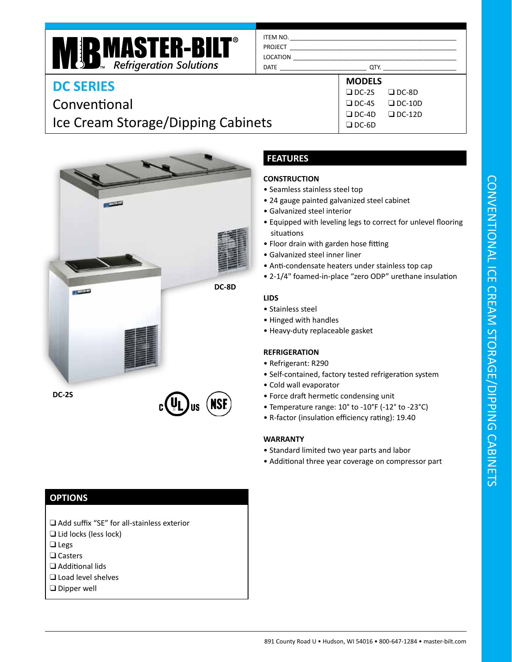#### ITEM NO. PROJECT

LOCATION \_\_\_\_\_\_\_\_\_\_\_\_\_\_\_\_\_\_\_\_\_\_\_\_\_\_\_\_\_\_\_\_\_\_\_\_\_\_\_\_\_\_\_\_\_\_\_\_\_ DATE \_\_\_\_\_\_\_\_\_\_\_\_\_\_\_\_\_\_\_\_\_\_\_\_\_\_ QTY. \_\_\_\_\_\_\_\_\_\_\_\_\_\_\_\_\_\_\_\_\_\_

**DC SERIES**

# Conventional Ice Cream Storage/Dipping Cabinets

**MRINASTER-BILT<sup>®</sup>**<br>Refrigeration Solutions



## **FEATURES**

### **CONSTRUCTION**

- Seamless stainless steel top
- 24 gauge painted galvanized steel cabinet
- Galvanized steel interior
- Equipped with leveling legs to correct for unlevel flooring situations

**MODELS** ❑ DC-2S ❑ DC-4S ❑ DC-4D ❑ DC-6D

❑ DC-8D ❑ DC-10D ❑ DC-12D

- Floor drain with garden hose fitting
- Galvanized steel inner liner
- Anti-condensate heaters under stainless top cap
- 2-1/4" foamed-in-place "zero ODP" urethane insulation

#### **LIDS**

- Stainless steel
- Hinged with handles
- Heavy-duty replaceable gasket

#### **REFRIGERATION**

- Refrigerant: R290
- Self-contained, factory tested refrigeration system
- Cold wall evaporator
- Force draft hermetic condensing unit
- Temperature range: 10° to -10°F (-12° to -23°C)
- R-factor (insulation efficiency rating): 19.40

#### **WARRANTY**

- Standard limited two year parts and labor
- Additional three year coverage on compressor part

### **OPTIONS**

- ❑ Add suffix "SE" for all-stainless exterior
- ❑ Lid locks (less lock)
- ❑ Legs
- ❑ Casters
- ❑ Additional lids
- ❑ Load level shelves
- ❑ Dipper well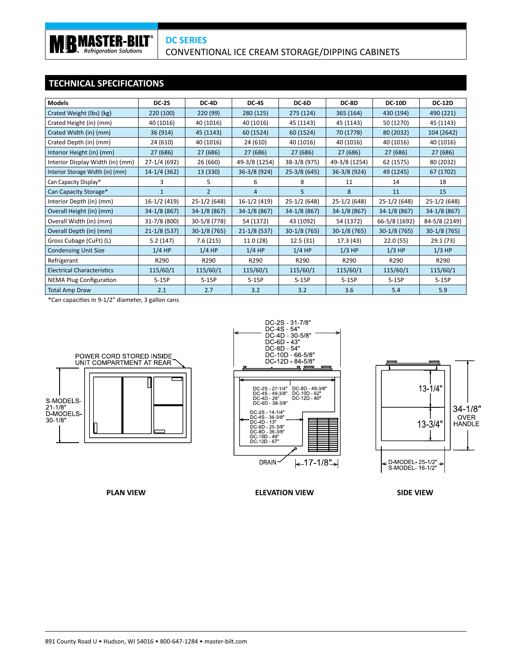### **TECHNICAL SPECIFICATIONS**

**RIB MASTER-BILT** 

| <b>Models</b>                     | <b>DC-2S</b>     | DC-4D          | DC-4S          | DC-6D         | DC-8D         | <b>DC-10D</b> | <b>DC-12D</b> |
|-----------------------------------|------------------|----------------|----------------|---------------|---------------|---------------|---------------|
| Crated Weight (lbs) (kg)          | 220(100)         | 220 (99)       | 280 (125)      | 275 (124)     | 365 (164)     | 430 (194)     | 490 (221)     |
| Crated Height (in) (mm)           | 40 (1016)        | 40 (1016)      | 40 (1016)      | 45 (1143)     | 45 (1143)     | 50 (1270)     | 45 (1143)     |
| Crated Width (in) (mm)            | 36 (914)         | 45 (1143)      | 60 (1524)      | 60 (1524)     | 70 (1778)     | 80 (2032)     | 104 (2642)    |
| Crated Depth (in) (mm)            | 24 (610)         | 40 (1016)      | 24 (610)       | 40 (1016)     | 40 (1016)     | 40 (1016)     | 40 (1016)     |
| Interior Height (in) (mm)         | 27 (686)         | 27 (686)       | 27 (686)       | 27 (686)      | 27 (686)      | 27 (686)      | 27 (686)      |
| Interior Display Width (in) (mm)  | 27-1/4 (692)     | 26 (660)       | 49-3/8 (1254)  | 38-3/8 (975)  | 49-3/8 (1254) | 62 (1575)     | 80 (2032)     |
| Interior Storage Width (in) (mm)  | $14-1/4(362)$    | 13 (330)       | 36-3/8 (924)   | $25-3/8(645)$ | 36-3/8 (924)  | 49 (1245)     | 67 (1702)     |
| Can Capacity Display*             | 3                | 5              | 6              | 8             | 11            | 14            | 18            |
| Can Capacity Storage*             | $\mathbf{1}$     | $\overline{2}$ | $\overline{4}$ | 5             | 8             | 11            | 15            |
| Interior Depth (in) (mm)          | 16-1/2 (419)     | $25-1/2(648)$  | 16-1/2 (419)   | $25-1/2(648)$ | $25-1/2(648)$ | $25-1/2(648)$ | 25-1/2 (648)  |
| Overall Height (in) (mm)          | $34-1/8(867)$    | 34-1/8 (867)   | 34-1/8 (867)   | $34-1/8(867)$ | 34-1/8 (867)  | $34-1/8(867)$ | $34-1/8(867)$ |
| Overall Width (in) (mm)           | 31-7/8 (800)     | 30-5/8 (778)   | 54 (1372)      | 43 (1092)     | 54 (1372)     | 66-5/8 (1692) | 84-5/8 (2149) |
| Overall Depth (in) (mm)           | $21 - 1/8$ (537) | $30-1/8(765)$  | $21-1/8(537)$  | $30-1/8(765)$ | 30-1/8 (765)  | $30-1/8(765)$ | $30-1/8(765)$ |
| Gross Cubage (CuFt) (L)           | 5.2(147)         | 7.6(215)       | 11.0(28)       | 12.5(31)      | 17.3 (43)     | 22.0(55)      | 29.1 (73)     |
| <b>Condensing Unit Size</b>       | $1/4$ HP         | $1/4$ HP       | $1/4$ HP       | $1/4$ HP      | $1/3$ HP      | $1/3$ HP      | $1/3$ HP      |
| Refrigerant                       | R290             | R290           | R290           | R290          | R290          | R290          | R290          |
| <b>Electrical Characteristics</b> | 115/60/1         | 115/60/1       | 115/60/1       | 115/60/1      | 115/60/1      | 115/60/1      | 115/60/1      |
| <b>NEMA Plug Configuration</b>    | $5-15P$          | $5-15P$        | $5-15P$        | $5-15P$       | $5-15P$       | $5-15P$       | $5-15P$       |
| <b>Total Amp Draw</b>             | 2.1              | 2.7            | 3.2            | 3.2           | 3.6           | 5.4           | 5.9           |

\*Can capacities in 9-1/2" diameter, 3 gallon cans







**PLAN VIEW ELEVATION VIEW SIDE VIEW**